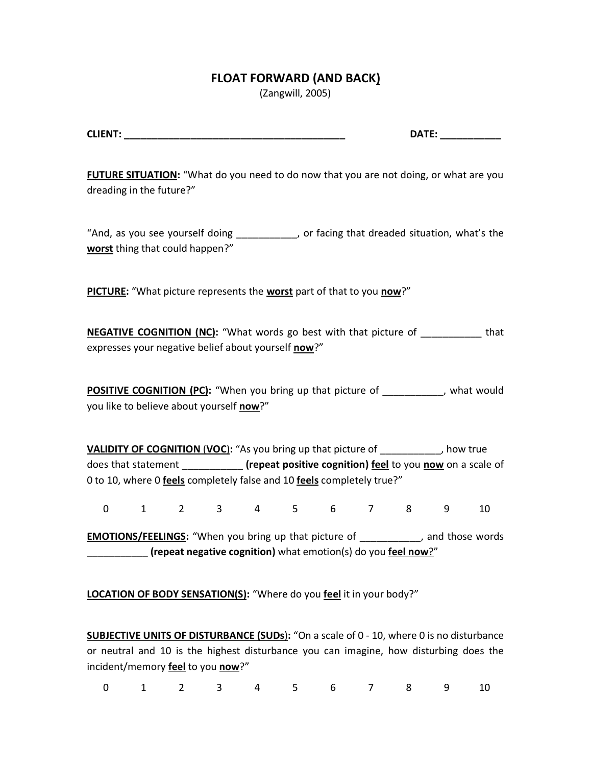## **FLOAT FORWARD (AND BACK)**

(Zangwill, 2005)

| <b>CLIENT</b> | <b>DATF</b> |  |
|---------------|-------------|--|
|               |             |  |

FUTURE SITUATION: "What do you need to do now that you are not doing, or what are you dreading in the future?"

͞And, as you see yourself doing \_\_\_\_\_\_\_\_\_\_\_, or facing that dreaded situation, what's the **worst** thing that could happen?"

**PICTURE:** ͞What picture represents the **worst** part of that to you **now**?͟

**NEGATIVE COGNITION (NC):** "What words go best with that picture of \_\_\_\_\_\_\_\_\_\_ that expresses your negative belief about yourself now?"

**POSITIVE COGNITION (PC):** "When you bring up that picture of \_\_\_\_\_\_\_\_\_, what would you like to believe about yourself now?"

**VALIDITY OF COGNITION (VOC):** "As you bring up that picture of  $\blacksquare$ , how true does that statement \_\_\_\_\_\_\_\_\_\_\_ **(repeat positive cognition) feel** to you **now** on a scale of 0 to 10, where 0 **feels** completely false and 10 **feels** completely true?͟

0 1 2 3 4 5 6 7 8 9 10

**EMOTIONS/FEELINGS:** "When you bring up that picture of \_\_\_\_\_\_\_\_\_\_, and those words \_\_\_\_\_\_\_\_\_\_\_ **(repeat negative cognition)** what emotion(s) do you **feel now**?͟

**LOCATION OF BODY SENSATION(S):** "Where do you feel it in your body?"

**SUBJECTIVE UNITS OF DISTURBANCE (SUDs):** "On a scale of 0 - 10, where 0 is no disturbance or neutral and 10 is the highest disturbance you can imagine, how disturbing does the incident/memory **feel** to you **now**?<sup>*"*</sup>

| 0 1 2 3 4 5 6 7 8 9 10 |  |  |  |  |  |  |  |  |  |  |
|------------------------|--|--|--|--|--|--|--|--|--|--|
|------------------------|--|--|--|--|--|--|--|--|--|--|